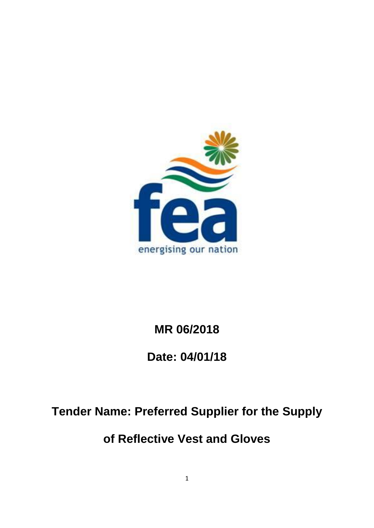

# **MR 06/2018**

# **Date: 04/01/18**

# **Tender Name: Preferred Supplier for the Supply**

# **of Reflective Vest and Gloves**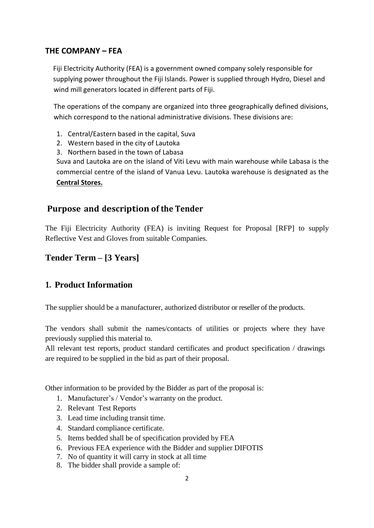#### **THE COMPANY – FEA**

Fiji Electricity Authority (FEA) is a government owned company solely responsible for supplying power throughout the Fiji Islands. Power is supplied through Hydro, Diesel and wind mill generators located in different parts of Fiji.

The operations of the company are organized into three geographically defined divisions, which correspond to the national administrative divisions. These divisions are:

- 1. Central/Eastern based in the capital, Suva
- 2. Western based in the city of Lautoka
- 3. Northern based in the town of Labasa

Suva and Lautoka are on the island of Viti Levu with main warehouse while Labasa is the commercial centre of the island of Vanua Levu. Lautoka warehouse is designated as the **Central Stores.**

#### **Purpose and description of the Tender**

The Fiji Electricity Authority (FEA) is inviting Request for Proposal [RFP] to supply Reflective Vest and Gloves from suitable Companies.

#### **Tender Term – [3 Years]**

#### **1. Product Information**

The supplier should be a manufacturer, authorized distributor or reseller of the products.

The vendors shall submit the names/contacts of utilities or projects where they have previously supplied this material to.

All relevant test reports, product standard certificates and product specification / drawings are required to be supplied in the bid as part of their proposal.

Other information to be provided by the Bidder as part of the proposal is:

- 1. Manufacturer's / Vendor's warranty on the product.
- 2. Relevant Test Reports
- 3. Lead time including transit time.
- 4. Standard compliance certificate.
- 5. Items bedded shall be of specification provided by FEA
- 6. Previous FEA experience with the Bidder and supplier DIFOTIS
- 7. No of quantity it will carry in stock at all time
- 8. The bidder shall provide a sample of: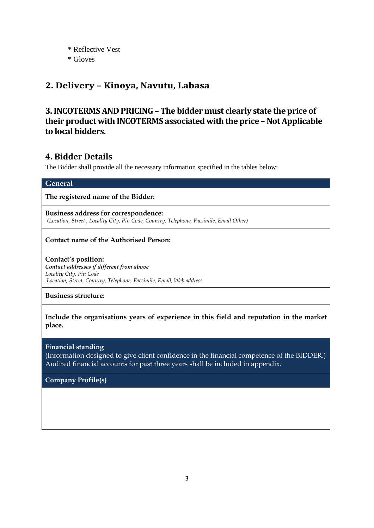\* Reflective Vest \* Gloves

### **2. Delivery – Kinoya, Navutu, Labasa**

## **3. INCOTERMSAND PRICING– The bidder must clearly state the price of their product with INCOTERMS associated with the price – Not Applicable to local bidders.**

## **4. Bidder Details**

The Bidder shall provide all the necessary information specified in the tables below:

| <b>General</b>                                                                                                                                                                                             |  |  |  |  |
|------------------------------------------------------------------------------------------------------------------------------------------------------------------------------------------------------------|--|--|--|--|
| The registered name of the Bidder:                                                                                                                                                                         |  |  |  |  |
| Business address for correspondence:<br>(Location, Street, Locality City, Pin Code, Country, Telephone, Facsimile, Email Other)                                                                            |  |  |  |  |
| <b>Contact name of the Authorised Person:</b>                                                                                                                                                              |  |  |  |  |
| Contact's position:<br>Contact addresses if different from above<br>Locality City, Pin Code<br>Location, Street, Country, Telephone, Facsimile, Email, Web address                                         |  |  |  |  |
| <b>Business structure:</b>                                                                                                                                                                                 |  |  |  |  |
| Include the organisations years of experience in this field and reputation in the market<br>place.                                                                                                         |  |  |  |  |
| <b>Financial standing</b><br>(Information designed to give client confidence in the financial competence of the BIDDER.)<br>Audited financial accounts for past three years shall be included in appendix. |  |  |  |  |
| <b>Company Profile(s)</b>                                                                                                                                                                                  |  |  |  |  |
|                                                                                                                                                                                                            |  |  |  |  |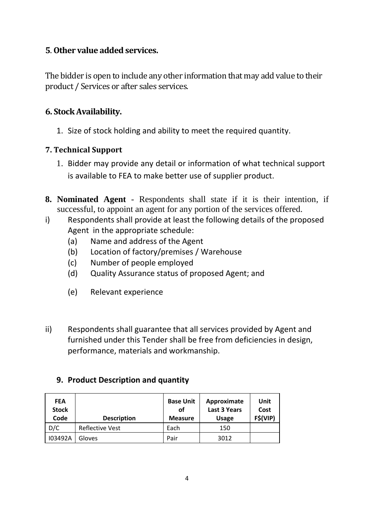## **5**. **Other value added services.**

The bidder is open to include any other information that may add value to their product / Services or after sales services.

## **6. Stock Availability.**

1. Size of stock holding and ability to meet the required quantity.

### **7. Technical Support**

- 1. Bidder may provide any detail or information of what technical support is available to FEA to make better use of supplier product.
- **8. Nominated Agent** Respondents shall state if it is their intention, if successful, to appoint an agent for any portion of the services offered.
- i) Respondents shall provide at least the following details of the proposed Agent in the appropriate schedule:
	- (a) Name and address of the Agent
	- (b) Location of factory/premises / Warehouse
	- (c) Number of people employed
	- (d) Quality Assurance status of proposed Agent; and
	- (e) Relevant experience
- ii) Respondents shall guarantee that all services provided by Agent and furnished under this Tender shall be free from deficiencies in design, performance, materials and workmanship.

## **9. Product Description and quantity**

| <b>FEA</b><br><b>Stock</b><br>Code | <b>Description</b>     | <b>Base Unit</b><br>οf<br><b>Measure</b> | Approximate<br><b>Last 3 Years</b><br><b>Usage</b> | Unit<br>Cost<br>F\$(VIP) |
|------------------------------------|------------------------|------------------------------------------|----------------------------------------------------|--------------------------|
| D/C                                | <b>Reflective Vest</b> | Each                                     | 150                                                |                          |
| 103492A                            | Gloves                 | Pair                                     | 3012                                               |                          |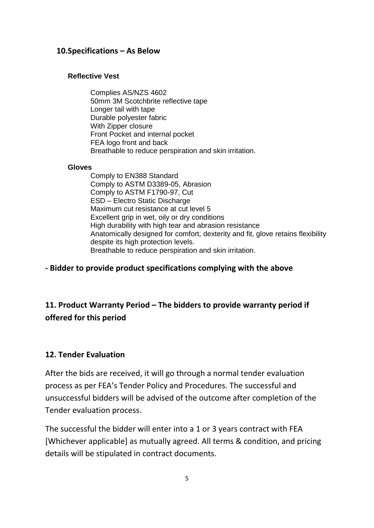#### **10.Specifications – As Below**

#### **Reflective Vest**

Complies AS/NZS 4602 50mm 3M Scotchbrite reflective tape Longer tail with tape Durable polyester fabric With Zipper closure Front Pocket and internal pocket FEA logo front and back Breathable to reduce perspiration and skin irritation.

#### **Gloves**

Comply to EN388 Standard Comply to ASTM D3389-05, Abrasion Comply to ASTM F1790-97, Cut ESD – Electro Static Discharge Maximum cut resistance at cut level 5 Excellent grip in wet, oily or dry conditions High durability with high tear and abrasion resistance Anatomically designed for comfort, dexterity and fit, glove retains flexibility despite its high protection levels. Breathable to reduce perspiration and skin irritation.

### **- Bidder to provide product specifications complying with the above**

# **11. Product Warranty Period – The bidders to provide warranty period if offered for this period**

### **12. Tender Evaluation**

After the bids are received, it will go through a normal tender evaluation process as per FEA's Tender Policy and Procedures. The successful and unsuccessful bidders will be advised of the outcome after completion of the Tender evaluation process.

The successful the bidder will enter into a 1 or 3 years contract with FEA [Whichever applicable] as mutually agreed. All terms & condition, and pricing details will be stipulated in contract documents.